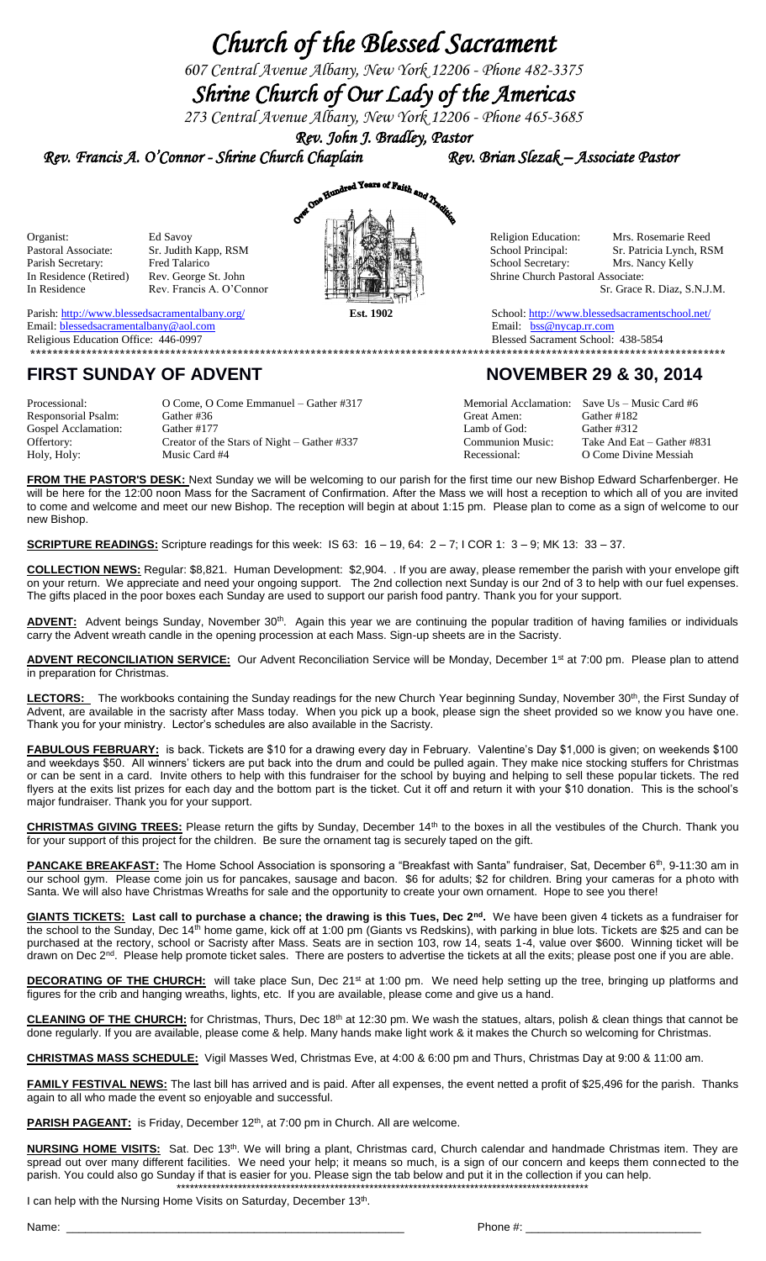## *Church of the Blessed Sacrament*

*607 Central Avenue Albany, New York 12206 - Phone 482-3375*

## *Shrine Church of Our Lady of the Americas*

*273 Central Avenue Albany, New York 12206 - Phone 465-3685 Rev. John J. Bradley, Pastor* 



Parish:<http://www.blessedsacramentalbany.org/>**Est. 1902** School[: http://www.blessedsacramentschool.net/](http://www.blessedsacramentschool.net/) Email: **blessedsacramentalbany@aol.com** Email: **[bss@nycap.rr.com](mailto:bss@nycap.rr.com)** Email: **bss@nycap.rr.com** 

Religious Education Office: 446-0997Blessed Sacrament School: 438-5854 **\*\*\*\*\*\*\*\*\*\*\*\*\*\*\*\*\*\*\*\*\*\*\*\*\*\*\*\*\*\*\*\*\*\*\*\*\*\*\*\*\*\*\*\*\*\*\*\*\*\*\*\*\*\*\*\*\*\*\*\*\*\*\*\*\*\*\*\*\*\*\*\*\*\*\*\*\*\*\*\*\*\*\*\*\*\*\*\*\*\*\*\*\*\*\*\*\*\*\*\*\*\*\*\*\*\*\*\*\*\*\*\*\*\*\*\*\*\*\*\*\*\*\*\***

## FIRST SUNDAY OF ADVENT NOVEMBER 29 & 30, 2014

Processional: O Come, O Come Emmanuel – Gather #317 Memorial Acclamation: Save Us – Music Card #6<br>Responsorial Psalm: Gather #36 Great Amen: Gather #182 Responsorial Psalm: Gospel Acclamation: Gather #177 Lamb of God: Gather #312<br>
Offertory: Creator of the Stars of Night – Gather #337 Communion Music: Take And Ea Offertory: Creator of the Stars of Night – Gather #337 Communion Music: Take And Eat – Gather #831 Holy, Holy: Music Card #4 **Music Card #4** Recessional: O Come Divine Messiah

**FROM THE PASTOR'S DESK:** Next Sunday we will be welcoming to our parish for the first time our new Bishop Edward Scharfenberger. He will be here for the 12:00 noon Mass for the Sacrament of Confirmation. After the Mass we will host a reception to which all of you are invited to come and welcome and meet our new Bishop. The reception will begin at about 1:15 pm. Please plan to come as a sign of welcome to our new Bishop.

**SCRIPTURE READINGS:** Scripture readings for this week: IS 63: 16 – 19, 64: 2 – 7; I COR 1: 3 – 9; MK 13: 33 – 37.

**COLLECTION NEWS:** Regular: \$8,821. Human Development: \$2,904. . If you are away, please remember the parish with your envelope gift on your return. We appreciate and need your ongoing support. The 2nd collection next Sunday is our 2nd of 3 to help with our fuel expenses. The gifts placed in the poor boxes each Sunday are used to support our parish food pantry. Thank you for your support.

ADVENT: Advent beings Sunday, November 30<sup>th</sup>. Again this year we are continuing the popular tradition of having families or individuals carry the Advent wreath candle in the opening procession at each Mass. Sign-up sheets are in the Sacristy.

ADVENT RECONCILIATION SERVICE: Our Advent Reconciliation Service will be Monday, December 1<sup>st</sup> at 7:00 pm. Please plan to attend in preparation for Christmas.

LECTORS: The workbooks containing the Sunday readings for the new Church Year beginning Sunday, November 30<sup>th</sup>, the First Sunday of Advent, are available in the sacristy after Mass today. When you pick up a book, please sign the sheet provided so we know you have one. Thank you for your ministry. Lector's schedules are also available in the Sacristy.

**FABULOUS FEBRUARY:** is back. Tickets are \$10 for a drawing every day in February. Valentine's Day \$1,000 is given; on weekends \$100 and weekdays \$50. All winners' tickers are put back into the drum and could be pulled again. They make nice stocking stuffers for Christmas or can be sent in a card. Invite others to help with this fundraiser for the school by buying and helping to sell these popular tickets. The red flyers at the exits list prizes for each day and the bottom part is the ticket. Cut it off and return it with your \$10 donation. This is the school's major fundraiser. Thank you for your support.

**CHRISTMAS GIVING TREES:** Please return the gifts by Sunday, December 14th to the boxes in all the vestibules of the Church. Thank you for your support of this project for the children. Be sure the ornament tag is securely taped on the gift.

**PANCAKE BREAKFAST:** The Home School Association is sponsoring a "Breakfast with Santa" fundraiser, Sat, December 6<sup>th</sup>, 9-11:30 am in our school gym. Please come join us for pancakes, sausage and bacon. \$6 for adults; \$2 for children. Bring your cameras for a photo with Santa. We will also have Christmas Wreaths for sale and the opportunity to create your own ornament. Hope to see you there!

**GIANTS TICKETS: Last call to purchase a chance; the drawing is this Tues, Dec 2nd .** We have been given 4 tickets as a fundraiser for the school to the Sunday, Dec 14<sup>th</sup> home game, kick off at 1:00 pm (Giants vs Redskins), with parking in blue lots. Tickets are \$25 and can be purchased at the rectory, school or Sacristy after Mass. Seats are in section 103, row 14, seats 1-4, value over \$600. Winning ticket will be drawn on Dec 2<sup>nd</sup>. Please help promote ticket sales. There are posters to advertise the tickets at all the exits; please post one if you are able.

DECORATING OF THE CHURCH: will take place Sun, Dec 21<sup>st</sup> at 1:00 pm. We need help setting up the tree, bringing up platforms and figures for the crib and hanging wreaths, lights, etc. If you are available, please come and give us a hand.

**CLEANING OF THE CHURCH:** for Christmas, Thurs, Dec 18th at 12:30 pm. We wash the statues, altars, polish & clean things that cannot be done regularly. If you are available, please come & help. Many hands make light work & it makes the Church so welcoming for Christmas.

**CHRISTMAS MASS SCHEDULE:** Vigil Masses Wed, Christmas Eve, at 4:00 & 6:00 pm and Thurs, Christmas Day at 9:00 & 11:00 am.

**FAMILY FESTIVAL NEWS:** The last bill has arrived and is paid. After all expenses, the event netted a profit of \$25,496 for the parish. Thanks again to all who made the event so enjoyable and successful.

PARISH PAGEANT: is Friday, December 12<sup>th</sup>, at 7:00 pm in Church. All are welcome.

**NURSING HOME VISITS:** Sat. Dec 13th. We will bring a plant, Christmas card, Church calendar and handmade Christmas item. They are spread out over many different facilities. We need your help; it means so much, is a sign of our concern and keeps them connected to the parish. You could also go Sunday if that is easier for you. Please sign the tab below and put it in the collection if you can help. \*\*\*\*\*\*\*\*\*\*\*\*\*\*\*\*\*\*\*\*\*\*\*\*\*\*\*\*\*\*\*\*\*\*\*\*\*\*\*\*\*\*\*\*\*\*\*\*\*\*\*\*\*\*\*\*\*\*\*\*\*\*\*\*\*\*\*\*\*\*\*\*\*\*\*\*\*\*\*\*\*\*\*\*\*\*\*\*\*\*\*\*\*\*

I can help with the Nursing Home Visits on Saturday, December 13<sup>th</sup>.